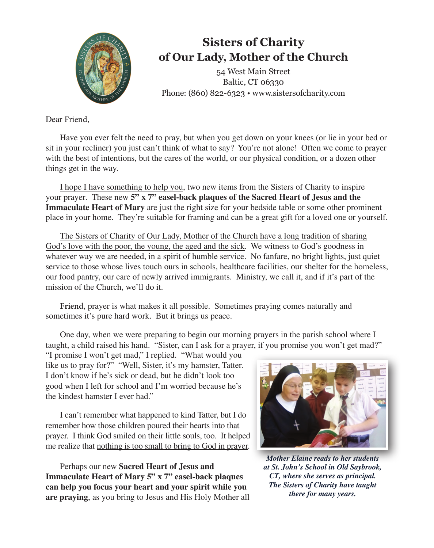

## **Sisters of Charity of Our Lady, Mother of the Church**

54 West Main Street Baltic, CT 06330 Phone: (860) 822-6323 • www.sistersofcharity.com

Dear Friend,

Have you ever felt the need to pray, but when you get down on your knees (or lie in your bed or sit in your recliner) you just can't think of what to say? You're not alone! Often we come to prayer with the best of intentions, but the cares of the world, or our physical condition, or a dozen other things get in the way.

I hope I have something to help you, two new items from the Sisters of Charity to inspire your prayer. These new **5" x 7" easel-back plaques of the Sacred Heart of Jesus and the Immaculate Heart of Mary** are just the right size for your bedside table or some other prominent place in your home. They're suitable for framing and can be a great gift for a loved one or yourself.

The Sisters of Charity of Our Lady, Mother of the Church have a long tradition of sharing God's love with the poor, the young, the aged and the sick. We witness to God's goodness in whatever way we are needed, in a spirit of humble service. No fanfare, no bright lights, just quiet service to those whose lives touch ours in schools, healthcare facilities, our shelter for the homeless, our food pantry, our care of newly arrived immigrants. Ministry, we call it, and if it's part of the mission of the Church, we'll do it.

**Friend**, prayer is what makes it all possible. Sometimes praying comes naturally and sometimes it's pure hard work. But it brings us peace.

One day, when we were preparing to begin our morning prayers in the parish school where I taught, a child raised his hand. "Sister, can I ask for a prayer, if you promise you won't get mad?"

"I promise I won't get mad," I replied. "What would you like us to pray for?" "Well, Sister, it's my hamster, Tatter. I don't know if he's sick or dead, but he didn't look too good when I left for school and I'm worried because he's the kindest hamster I ever had."

I can't remember what happened to kind Tatter, but I do remember how those children poured their hearts into that prayer. I think God smiled on their little souls, too. It helped me realize that nothing is too small to bring to God in prayer.

Perhaps our new **Sacred Heart of Jesus and Immaculate Heart of Mary 5" x 7" easel-back plaques can help you focus your heart and your spirit while you are praying**, as you bring to Jesus and His Holy Mother all



*Mother Elaine reads to her students at St. John's School in Old Saybrook, CT, where she serves as principal. The Sisters of Charity have taught there for many years.*